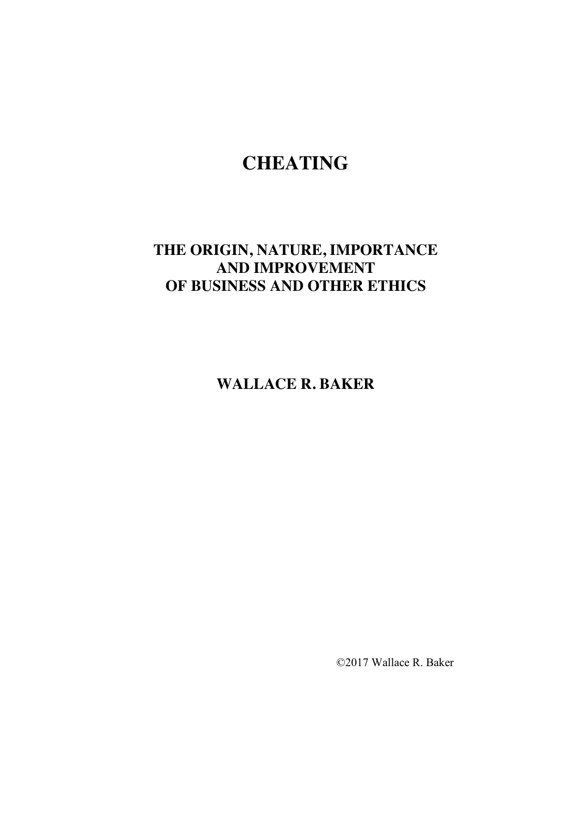# **CHEATING**

# **THE ORIGIN, NATURE, IMPORTANCE AND IMPROVEMENT OF BUSINESS AND OTHER ETHICS**

**WALLACE R. BAKER**

©2017 Wallace R. Baker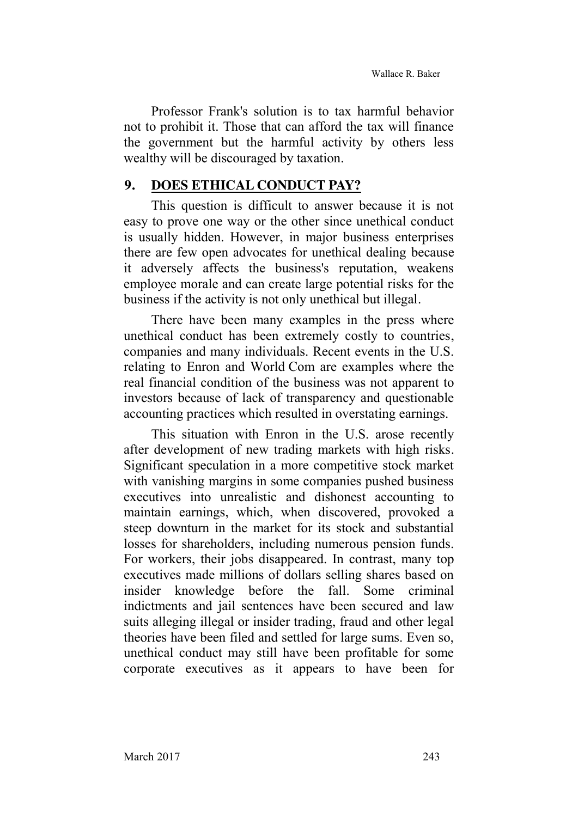Professor Frank's solution is to tax harmful behavior not to prohibit it. Those that can afford the tax will finance the government but the harmful activity by others less wealthy will be discouraged by taxation.

#### **9. DOES ETHICAL CONDUCT PAY?**

This question is difficult to answer because it is not easy to prove one way or the other since unethical conduct is usually hidden. However, in major business enterprises there are few open advocates for unethical dealing because it adversely affects the business's reputation, weakens employee morale and can create large potential risks for the business if the activity is not only unethical but illegal.

There have been many examples in the press where unethical conduct has been extremely costly to countries, companies and many individuals. Recent events in the U.S. relating to Enron and World Com are examples where the real financial condition of the business was not apparent to investors because of lack of transparency and questionable accounting practices which resulted in overstating earnings.

This situation with Enron in the U.S. arose recently after development of new trading markets with high risks. Significant speculation in a more competitive stock market with vanishing margins in some companies pushed business executives into unrealistic and dishonest accounting to maintain earnings, which, when discovered, provoked a steep downturn in the market for its stock and substantial losses for shareholders, including numerous pension funds. For workers, their jobs disappeared. In contrast, many top executives made millions of dollars selling shares based on insider knowledge before the fall. Some criminal indictments and jail sentences have been secured and law suits alleging illegal or insider trading, fraud and other legal theories have been filed and settled for large sums. Even so, unethical conduct may still have been profitable for some corporate executives as it appears to have been for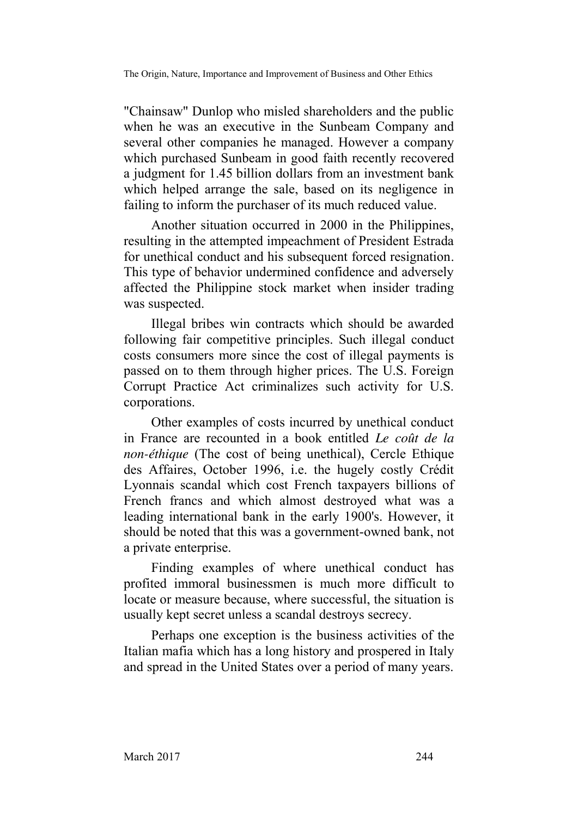"Chainsaw" Dunlop who misled shareholders and the public when he was an executive in the Sunbeam Company and several other companies he managed. However a company which purchased Sunbeam in good faith recently recovered a judgment for 1.45 billion dollars from an investment bank which helped arrange the sale, based on its negligence in failing to inform the purchaser of its much reduced value.

Another situation occurred in 2000 in the Philippines, resulting in the attempted impeachment of President Estrada for unethical conduct and his subsequent forced resignation. This type of behavior undermined confidence and adversely affected the Philippine stock market when insider trading was suspected.

Illegal bribes win contracts which should be awarded following fair competitive principles. Such illegal conduct costs consumers more since the cost of illegal payments is passed on to them through higher prices. The U.S. Foreign Corrupt Practice Act criminalizes such activity for U.S. corporations.

Other examples of costs incurred by unethical conduct in France are recounted in a book entitled *Le coût de la non-éthique* (The cost of being unethical), Cercle Ethique des Affaires, October 1996, i.e. the hugely costly Crédit Lyonnais scandal which cost French taxpayers billions of French francs and which almost destroyed what was a leading international bank in the early 1900's. However, it should be noted that this was a government-owned bank, not a private enterprise.

Finding examples of where unethical conduct has profited immoral businessmen is much more difficult to locate or measure because, where successful, the situation is usually kept secret unless a scandal destroys secrecy.

Perhaps one exception is the business activities of the Italian mafia which has a long history and prospered in Italy and spread in the United States over a period of many years.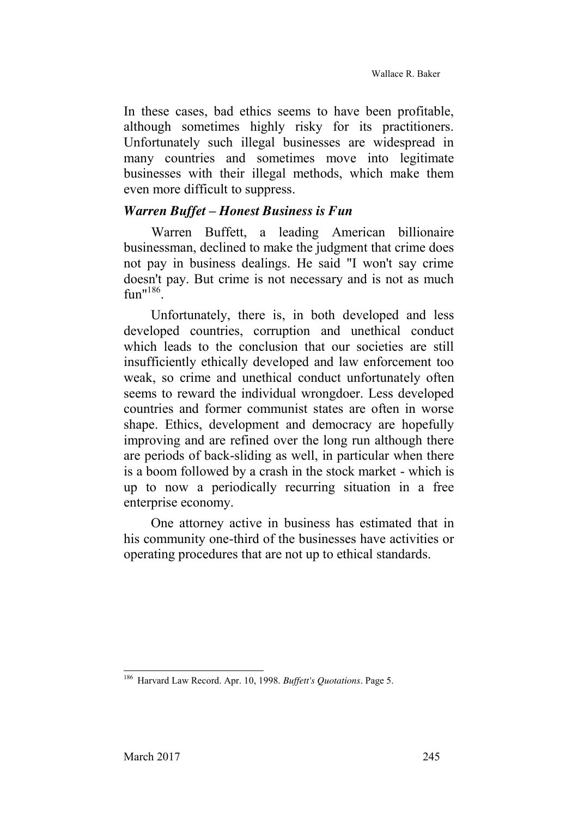In these cases, bad ethics seems to have been profitable, although sometimes highly risky for its practitioners. Unfortunately such illegal businesses are widespread in many countries and sometimes move into legitimate businesses with their illegal methods, which make them even more difficult to suppress.

#### *Warren Buffet – Honest Business is Fun*

Warren Buffett, a leading American billionaire businessman, declined to make the judgment that crime does not pay in business dealings. He said "I won't say crime doesn't pay. But crime is not necessary and is not as much  $fin''^{186}$ 

Unfortunately, there is, in both developed and less developed countries, corruption and unethical conduct which leads to the conclusion that our societies are still insufficiently ethically developed and law enforcement too weak, so crime and unethical conduct unfortunately often seems to reward the individual wrongdoer. Less developed countries and former communist states are often in worse shape. Ethics, development and democracy are hopefully improving and are refined over the long run although there are periods of back-sliding as well, in particular when there is a boom followed by a crash in the stock market - which is up to now a periodically recurring situation in a free enterprise economy.

One attorney active in business has estimated that in his community one-third of the businesses have activities or operating procedures that are not up to ethical standards.

 <sup>186</sup> Harvard Law Record. Apr. 10, 1998. *Buffett's Quotations*. Page 5.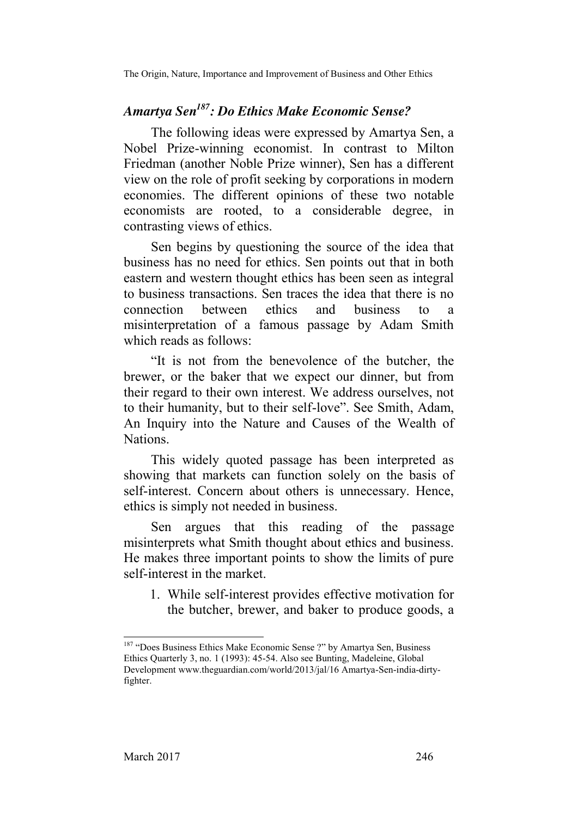The Origin, Nature, Importance and Improvement of Business and Other Ethics

# *Amartya Sen187: Do Ethics Make Economic Sense?*

The following ideas were expressed by Amartya Sen, a Nobel Prize-winning economist. In contrast to Milton Friedman (another Noble Prize winner), Sen has a different view on the role of profit seeking by corporations in modern economies. The different opinions of these two notable economists are rooted, to a considerable degree, in contrasting views of ethics.

Sen begins by questioning the source of the idea that business has no need for ethics. Sen points out that in both eastern and western thought ethics has been seen as integral to business transactions. Sen traces the idea that there is no connection between ethics and business to a misinterpretation of a famous passage by Adam Smith which reads as follows:

"It is not from the benevolence of the butcher, the brewer, or the baker that we expect our dinner, but from their regard to their own interest. We address ourselves, not to their humanity, but to their self-love". See Smith, Adam, An Inquiry into the Nature and Causes of the Wealth of Nations.

This widely quoted passage has been interpreted as showing that markets can function solely on the basis of self-interest. Concern about others is unnecessary. Hence, ethics is simply not needed in business.

Sen argues that this reading of the passage misinterprets what Smith thought about ethics and business. He makes three important points to show the limits of pure self-interest in the market.

1. While self-interest provides effective motivation for the butcher, brewer, and baker to produce goods, a

<sup>&</sup>lt;sup>187</sup> "Does Business Ethics Make Economic Sense ?" by Amartya Sen, Business Ethics Quarterly 3, no. 1 (1993): 45-54. Also see Bunting, Madeleine, Global Development [www.theg](http://www.the/)uardian.com/world/2013/jal/16 Amartya-Sen-india-dirtyfighter.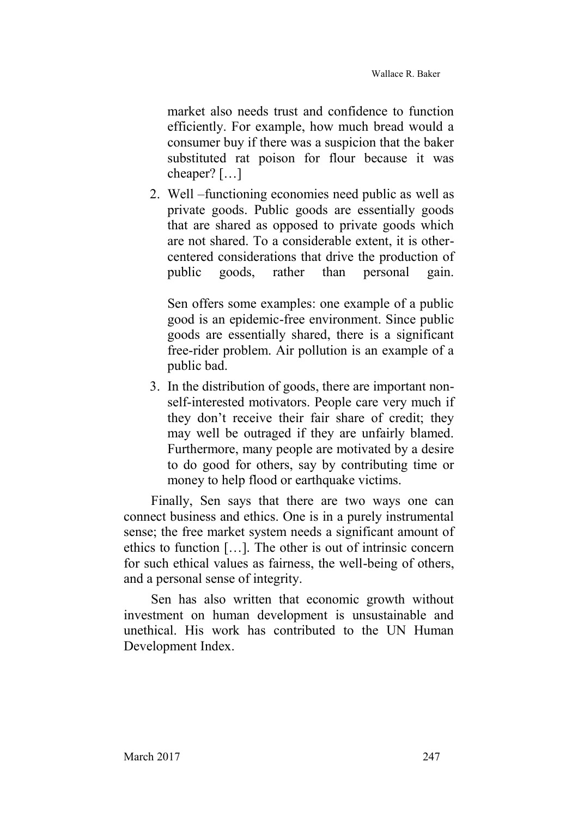market also needs trust and confidence to function efficiently. For example, how much bread would a consumer buy if there was a suspicion that the baker substituted rat poison for flour because it was cheaper? […]

2. Well –functioning economies need public as well as private goods. Public goods are essentially goods that are shared as opposed to private goods which are not shared. To a considerable extent, it is othercentered considerations that drive the production of public goods, rather than personal gain.

Sen offers some examples: one example of a public good is an epidemic-free environment. Since public goods are essentially shared, there is a significant free-rider problem. Air pollution is an example of a public bad.

3. In the distribution of goods, there are important nonself-interested motivators. People care very much if they don't receive their fair share of credit; they may well be outraged if they are unfairly blamed. Furthermore, many people are motivated by a desire to do good for others, say by contributing time or money to help flood or earthquake victims.

Finally, Sen says that there are two ways one can connect business and ethics. One is in a purely instrumental sense; the free market system needs a significant amount of ethics to function […]. The other is out of intrinsic concern for such ethical values as fairness, the well-being of others, and a personal sense of integrity.

Sen has also written that economic growth without investment on human development is unsustainable and unethical. His work has contributed to the UN Human Development Index.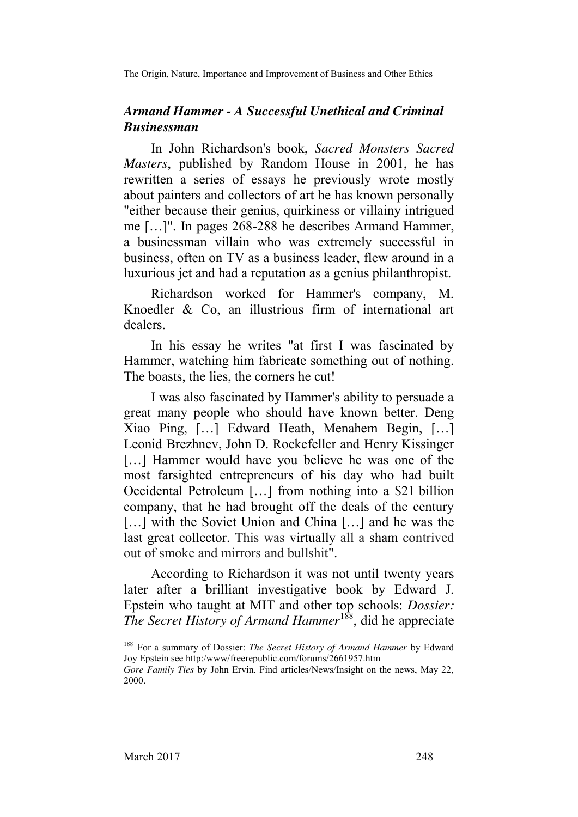The Origin, Nature, Importance and Improvement of Business and Other Ethics

# *Armand Hammer - A Successful Unethical and Criminal Businessman*

In John Richardson's book, *Sacred Monsters Sacred Masters*, published by Random House in 2001, he has rewritten a series of essays he previously wrote mostly about painters and collectors of art he has known personally "either because their genius, quirkiness or villainy intrigued me […]". In pages 268-288 he describes Armand Hammer, a businessman villain who was extremely successful in business, often on TV as a business leader, flew around in a luxurious jet and had a reputation as a genius philanthropist.

Richardson worked for Hammer's company, M. Knoedler & Co, an illustrious firm of international art dealers.

In his essay he writes "at first I was fascinated by Hammer, watching him fabricate something out of nothing. The boasts, the lies, the corners he cut!

I was also fascinated by Hammer's ability to persuade a great many people who should have known better. Deng Xiao Ping, […] Edward Heath, Menahem Begin, […] Leonid Brezhnev, John D. Rockefeller and Henry Kissinger [...] Hammer would have you believe he was one of the most farsighted entrepreneurs of his day who had built Occidental Petroleum […] from nothing into a \$21 billion company, that he had brought off the deals of the century [...] with the Soviet Union and China [...] and he was the last great collector. This was virtually all a sham contrived out of smoke and mirrors and bullshit".

According to Richardson it was not until twenty years later after a brilliant investigative book by Edward J. Epstein who taught at MIT and other top schools: *Dossier: The Secret History of Armand Hammer*188, did he appreciate

 <sup>188</sup> For a summary of Dossier: *The Secret History of Armand Hammer* by Edward Joy Epstein see http:/www/freerepublic.com/forums/2661957.htm

*Gore Family Ties* by John Ervin. Find articles/News/Insight on the news, May 22, 2000.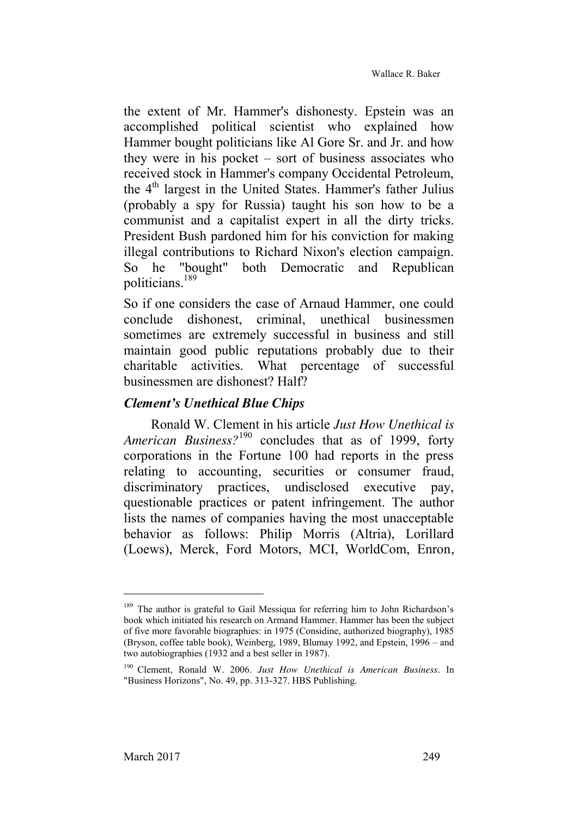the extent of Mr. Hammer's dishonesty. Epstein was an accomplished political scientist who explained how Hammer bought politicians like Al Gore Sr. and Jr. and how they were in his pocket – sort of business associates who received stock in Hammer's company Occidental Petroleum, the 4<sup>th</sup> largest in the United States. Hammer's father Julius (probably a spy for Russia) taught his son how to be a communist and a capitalist expert in all the dirty tricks. President Bush pardoned him for his conviction for making illegal contributions to Richard Nixon's election campaign. So he "bought" both Democratic and Republican politicians.<sup>189</sup>

So if one considers the case of Arnaud Hammer, one could conclude dishonest, criminal, unethical businessmen sometimes are extremely successful in business and still maintain good public reputations probably due to their charitable activities. What percentage of successful businessmen are dishonest? Half?

# *Clement's Unethical Blue Chips*

Ronald W. Clement in his article *Just How Unethical is*  American Business?<sup>190</sup> concludes that as of 1999, forty corporations in the Fortune 100 had reports in the press relating to accounting, securities or consumer fraud, discriminatory practices, undisclosed executive pay, questionable practices or patent infringement. The author lists the names of companies having the most unacceptable behavior as follows: Philip Morris (Altria), Lorillard (Loews), Merck, Ford Motors, MCI, WorldCom, Enron,

-

<sup>&</sup>lt;sup>189</sup> The author is grateful to Gail Messiqua for referring him to John Richardson's book which initiated his research on Armand Hammer. Hammer has been the subject of five more favorable biographies: in 1975 (Considine, authorized biography), 1985 (Bryson, coffee table book), Weinberg, 1989, Blumay 1992, and Epstein, 1996 – and two autobiographies (1932 and a best seller in 1987).

<sup>190</sup> Clement, Ronald W. 2006. *Just How Unethical is American Business*. In "Business Horizons", No. 49, pp. 313-327. HBS Publishing.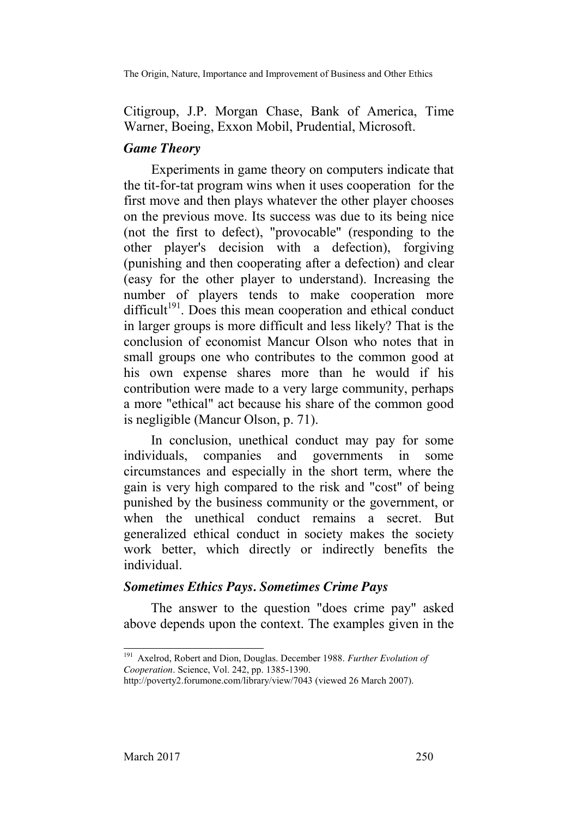The Origin, Nature, Importance and Improvement of Business and Other Ethics

Citigroup, J.P. Morgan Chase, Bank of America, Time Warner, Boeing, Exxon Mobil, Prudential, Microsoft.

# *Game Theory*

Experiments in game theory on computers indicate that the tit-for-tat program wins when it uses cooperation for the first move and then plays whatever the other player chooses on the previous move. Its success was due to its being nice (not the first to defect), "provocable" (responding to the other player's decision with a defection), forgiving (punishing and then cooperating after a defection) and clear (easy for the other player to understand). Increasing the number of players tends to make cooperation more  $difficult<sup>191</sup>$ . Does this mean cooperation and ethical conduct in larger groups is more difficult and less likely? That is the conclusion of economist Mancur Olson who notes that in small groups one who contributes to the common good at his own expense shares more than he would if his contribution were made to a very large community, perhaps a more "ethical" act because his share of the common good is negligible (Mancur Olson, p. 71).

In conclusion, unethical conduct may pay for some individuals, companies and governments in some circumstances and especially in the short term, where the gain is very high compared to the risk and "cost" of being punished by the business community or the government, or when the unethical conduct remains a secret. But generalized ethical conduct in society makes the society work better, which directly or indirectly benefits the individual.

# *Sometimes Ethics Pays. Sometimes Crime Pays*

The answer to the question "does crime pay" asked above depends upon the context. The examples given in the

 <sup>191</sup> Axelrod, Robert and Dion, Douglas. December 1988. *Further Evolution of Cooperation*. Science, Vol. 242, pp. 1385-1390.

http://poverty2.forumone.com/library/view/7043 (viewed 26 March 2007).